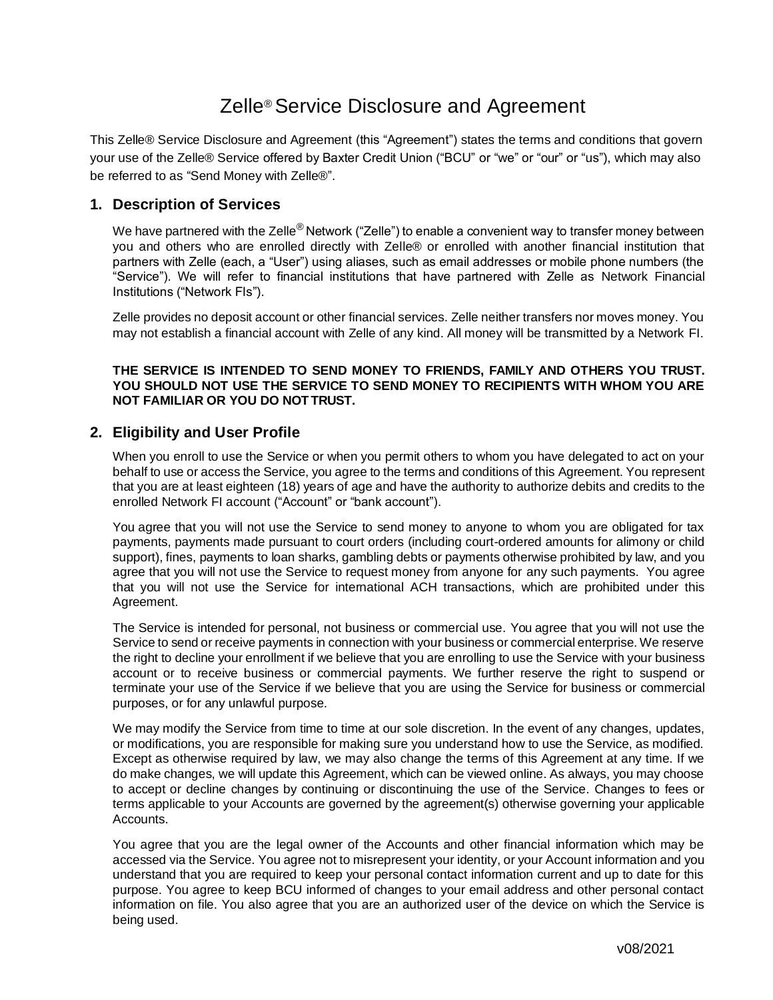# Zelle® Service Disclosure and Agreement

This Zelle® Service Disclosure and Agreement (this "Agreement") states the terms and conditions that govern your use of the Zelle® Service offered by Baxter Credit Union ("BCU" or "we" or "our" or "us"), which may also be referred to as "Send Money with Zelle®".

#### **1. Description of Services**

We have partnered with the Zelle® Network ("Zelle") to enable a convenient way to transfer money between you and others who are enrolled directly with Zelle® or enrolled with another financial institution that partners with Zelle (each, a "User") using aliases, such as email addresses or mobile phone numbers (the "Service"). We will refer to financial institutions that have partnered with Zelle as Network Financial Institutions ("Network FIs").

Zelle provides no deposit account or other financial services. Zelle neither transfers nor moves money. You may not establish a financial account with Zelle of any kind. All money will be transmitted by a Network FI.

#### **THE SERVICE IS INTENDED TO SEND MONEY TO FRIENDS, FAMILY AND OTHERS YOU TRUST. YOU SHOULD NOT USE THE SERVICE TO SEND MONEY TO RECIPIENTS WITH WHOM YOU ARE NOT FAMILIAR OR YOU DO NOT TRUST.**

#### **2. Eligibility and User Profile**

When you enroll to use the Service or when you permit others to whom you have delegated to act on your behalf to use or access the Service, you agree to the terms and conditions of this Agreement. You represent that you are at least eighteen (18) years of age and have the authority to authorize debits and credits to the enrolled Network FI account ("Account" or "bank account").

You agree that you will not use the Service to send money to anyone to whom you are obligated for tax payments, payments made pursuant to court orders (including court-ordered amounts for alimony or child support), fines, payments to loan sharks, gambling debts or payments otherwise prohibited by law, and you agree that you will not use the Service to request money from anyone for any such payments. You agree that you will not use the Service for international ACH transactions, which are prohibited under this Agreement.

The Service is intended for personal, not business or commercial use. You agree that you will not use the Service to send or receive payments in connection with your business or commercial enterprise. We reserve the right to decline your enrollment if we believe that you are enrolling to use the Service with your business account or to receive business or commercial payments. We further reserve the right to suspend or terminate your use of the Service if we believe that you are using the Service for business or commercial purposes, or for any unlawful purpose.

We may modify the Service from time to time at our sole discretion. In the event of any changes, updates, or modifications, you are responsible for making sure you understand how to use the Service, as modified. Except as otherwise required by law, we may also change the terms of this Agreement at any time. If we do make changes, we will update this Agreement, which can be viewed online. As always, you may choose to accept or decline changes by continuing or discontinuing the use of the Service. Changes to fees or terms applicable to your Accounts are governed by the agreement(s) otherwise governing your applicable Accounts.

You agree that you are the legal owner of the Accounts and other financial information which may be accessed via the Service. You agree not to misrepresent your identity, or your Account information and you understand that you are required to keep your personal contact information current and up to date for this purpose. You agree to keep BCU informed of changes to your email address and other personal contact information on file. You also agree that you are an authorized user of the device on which the Service is being used.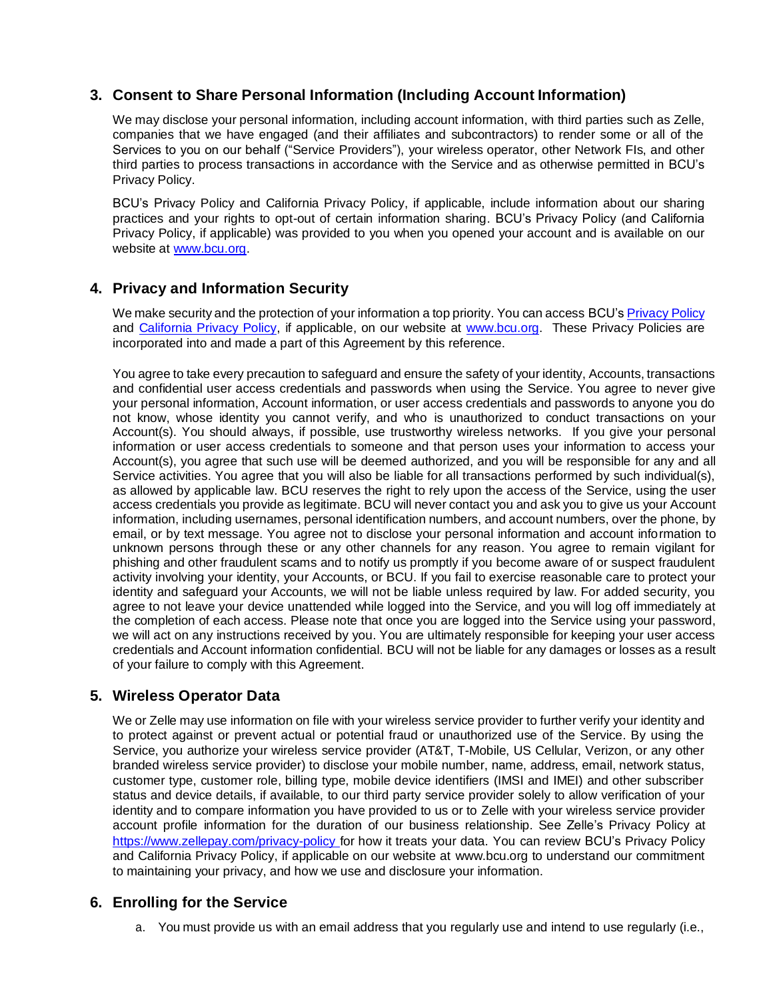## **3. Consent to Share Personal Information (Including Account Information)**

We may disclose your personal information, including account information, with third parties such as Zelle, companies that we have engaged (and their affiliates and subcontractors) to render some or all of the Services to you on our behalf ("Service Providers"), your wireless operator, other Network FIs, and other third parties to process transactions in accordance with the Service and as otherwise permitted in BCU's Privacy Policy.

BCU's Privacy Policy and California Privacy Policy, if applicable, include information about our sharing practices and your rights to opt-out of certain information sharing. BCU's Privacy Policy (and California Privacy Policy, if applicable) was provided to you when you opened your account and is available on our website at [www.bcu.org.](http://www.bcu.org/)

## **4. Privacy and Information Security**

We make security and the protection of your information a top priority. You can access BCU's Privacy Policy and California Privacy Policy, if applicable, on our website at [www.bcu.org.](http://www.bcu.org/) These Privacy Policies are incorporated into and made a part of this Agreement by this reference.

You agree to take every precaution to safeguard and ensure the safety of your identity, Accounts, transactions and confidential user access credentials and passwords when using the Service. You agree to never give your personal information, Account information, or user access credentials and passwords to anyone you do not know, whose identity you cannot verify, and who is unauthorized to conduct transactions on your Account(s). You should always, if possible, use trustworthy wireless networks. If you give your personal information or user access credentials to someone and that person uses your information to access your Account(s), you agree that such use will be deemed authorized, and you will be responsible for any and all Service activities. You agree that you will also be liable for all transactions performed by such individual(s), as allowed by applicable law. BCU reserves the right to rely upon the access of the Service, using the user access credentials you provide as legitimate. BCU will never contact you and ask you to give us your Account information, including usernames, personal identification numbers, and account numbers, over the phone, by email, or by text message. You agree not to disclose your personal information and account information to unknown persons through these or any other channels for any reason. You agree to remain vigilant for phishing and other fraudulent scams and to notify us promptly if you become aware of or suspect fraudulent activity involving your identity, your Accounts, or BCU. If you fail to exercise reasonable care to protect your identity and safeguard your Accounts, we will not be liable unless required by law. For added security, you agree to not leave your device unattended while logged into the Service, and you will log off immediately at the completion of each access. Please note that once you are logged into the Service using your password, we will act on any instructions received by you. You are ultimately responsible for keeping your user access credentials and Account information confidential. BCU will not be liable for any damages or losses as a result of your failure to comply with this Agreement.

# **5. Wireless Operator Data**

We or Zelle may use information on file with your wireless service provider to further verify your identity and to protect against or prevent actual or potential fraud or unauthorized use of the Service. By using the Service, you authorize your wireless service provider (AT&T, T-Mobile, US Cellular, Verizon, or any other branded wireless service provider) to disclose your mobile number, name, address, email, network status, customer type, customer role, billing type, mobile device identifiers (IMSI and IMEI) and other subscriber status and device details, if available, to our third party service provider solely to allow verification of your identity and to compare information you have provided to us or to Zelle with your wireless service provider account profile information for the duration of our business relationship. See Zelle's Privacy Policy at [https://www](https://ww/)[.zellepay.](http://www.zellepay.com/privacy-policy)com/p[rivacy-policy](http://www.zellepay.com/privacy-policy) for how it treats your data. You can review BCU's Privacy Policy and California Privacy Policy, if applicable on our website at www.bcu.org to understand our commitment to maintaining your privacy, and how we use and disclosure your information.

## **6. Enrolling for the Service**

a. You must provide us with an email address that you regularly use and intend to use regularly (i.e.,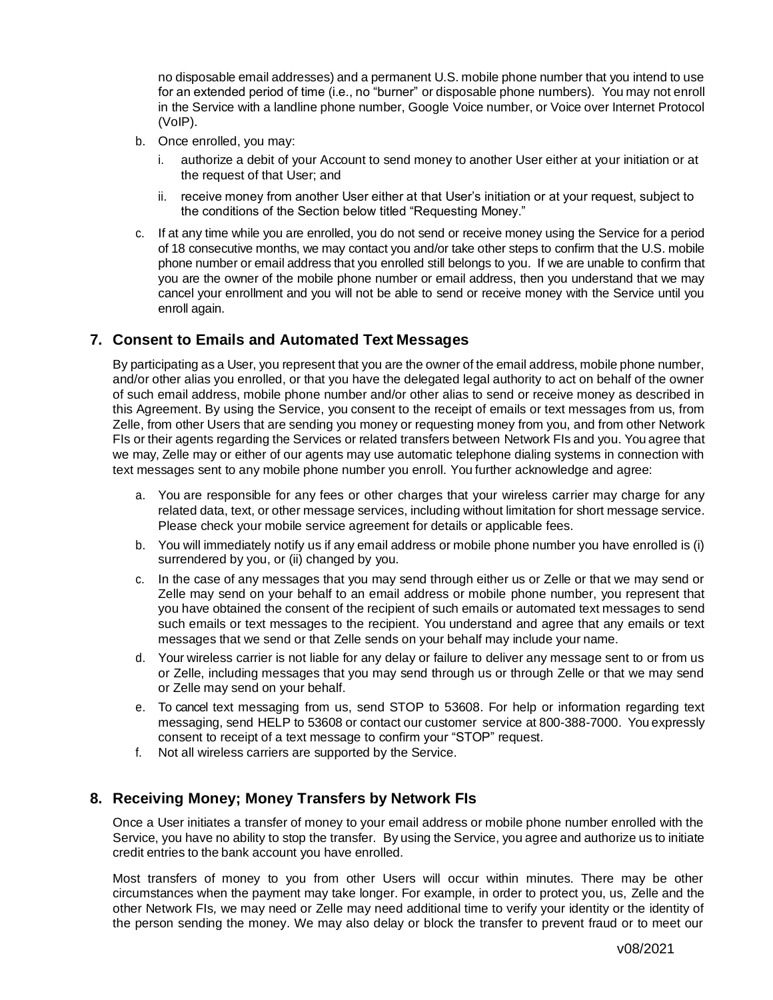no disposable email addresses) and a permanent U.S. mobile phone number that you intend to use for an extended period of time (i.e., no "burner" or disposable phone numbers). You may not enroll in the Service with a landline phone number, Google Voice number, or Voice over Internet Protocol (VoIP).

- b. Once enrolled, you may:
	- i. authorize a debit of your Account to send money to another User either at your initiation or at the request of that User; and
	- ii. receive money from another User either at that User's initiation or at your request, subject to the conditions of the Section below titled "Requesting Money."
- c. If at any time while you are enrolled, you do not send or receive money using the Service for a period of 18 consecutive months, we may contact you and/or take other steps to confirm that the U.S. mobile phone number or email address that you enrolled still belongs to you. If we are unable to confirm that you are the owner of the mobile phone number or email address, then you understand that we may cancel your enrollment and you will not be able to send or receive money with the Service until you enroll again.

## **7. Consent to Emails and Automated Text Messages**

By participating as a User, you represent that you are the owner of the email address, mobile phone number, and/or other alias you enrolled, or that you have the delegated legal authority to act on behalf of the owner of such email address, mobile phone number and/or other alias to send or receive money as described in this Agreement. By using the Service, you consent to the receipt of emails or text messages from us, from Zelle, from other Users that are sending you money or requesting money from you, and from other Network FIs or their agents regarding the Services or related transfers between Network FIs and you. You agree that we may, Zelle may or either of our agents may use automatic telephone dialing systems in connection with text messages sent to any mobile phone number you enroll. You further acknowledge and agree:

- a. You are responsible for any fees or other charges that your wireless carrier may charge for any related data, text, or other message services, including without limitation for short message service. Please check your mobile service agreement for details or applicable fees.
- b. You will immediately notify us if any email address or mobile phone number you have enrolled is (i) surrendered by you, or (ii) changed by you.
- c. In the case of any messages that you may send through either us or Zelle or that we may send or Zelle may send on your behalf to an email address or mobile phone number, you represent that you have obtained the consent of the recipient of such emails or automated text messages to send such emails or text messages to the recipient. You understand and agree that any emails or text messages that we send or that Zelle sends on your behalf may include your name.
- d. Your wireless carrier is not liable for any delay or failure to deliver any message sent to or from us or Zelle, including messages that you may send through us or through Zelle or that we may send or Zelle may send on your behalf.
- e. To cancel text messaging from us, send STOP to 53608. For help or information regarding text messaging, send HELP to 53608 or contact our customer service at 800-388-7000. You expressly consent to receipt of a text message to confirm your "STOP" request.
- f. Not all wireless carriers are supported by the Service.

## **8. Receiving Money; Money Transfers by Network FIs**

Once a User initiates a transfer of money to your email address or mobile phone number enrolled with the Service, you have no ability to stop the transfer. By using the Service, you agree and authorize us to initiate credit entries to the bank account you have enrolled.

Most transfers of money to you from other Users will occur within minutes. There may be other circumstances when the payment may take longer. For example, in order to protect you, us, Zelle and the other Network FIs*,* we may need or Zelle may need additional time to verify your identity or the identity of the person sending the money. We may also delay or block the transfer to prevent fraud or to meet our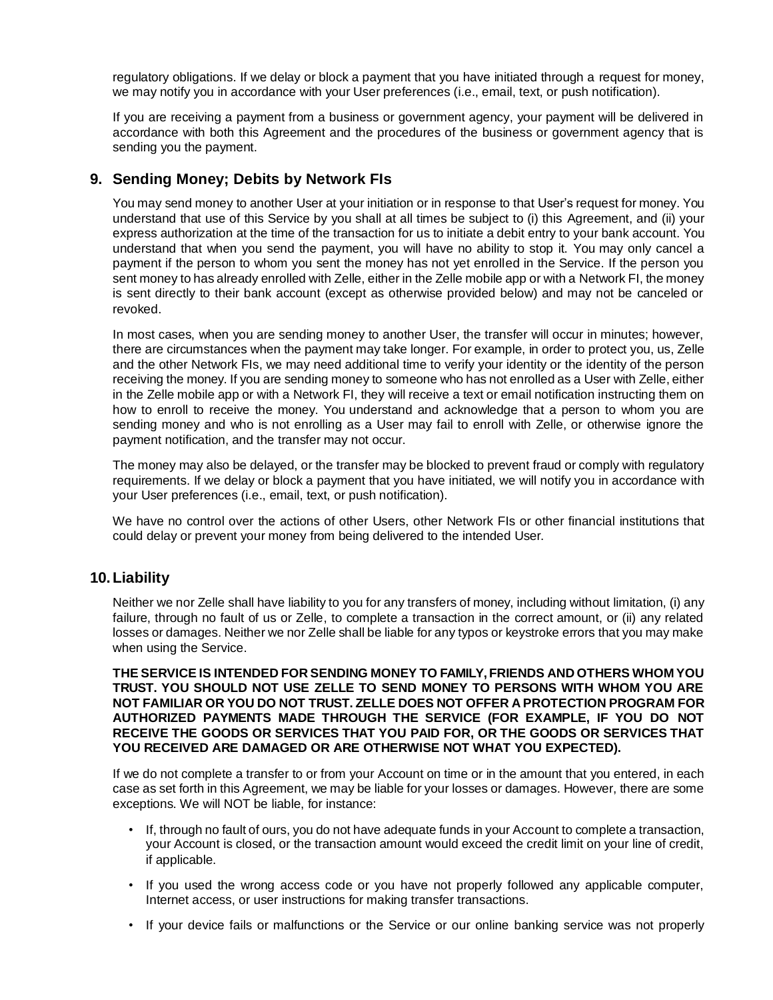regulatory obligations. If we delay or block a payment that you have initiated through a request for money, we may notify you in accordance with your User preferences (i.e., email, text, or push notification).

If you are receiving a payment from a business or government agency, your payment will be delivered in accordance with both this Agreement and the procedures of the business or government agency that is sending you the payment.

#### **9. Sending Money; Debits by Network FIs**

You may send money to another User at your initiation or in response to that User's request for money. You understand that use of this Service by you shall at all times be subject to (i) this Agreement, and (ii) your express authorization at the time of the transaction for us to initiate a debit entry to your bank account. You understand that when you send the payment, you will have no ability to stop it. You may only cancel a payment if the person to whom you sent the money has not yet enrolled in the Service. If the person you sent money to has already enrolled with Zelle, either in the Zelle mobile app or with a Network FI, the money is sent directly to their bank account (except as otherwise provided below) and may not be canceled or revoked.

In most cases, when you are sending money to another User, the transfer will occur in minutes; however, there are circumstances when the payment may take longer. For example, in order to protect you, us, Zelle and the other Network FIs, we may need additional time to verify your identity or the identity of the person receiving the money. If you are sending money to someone who has not enrolled as a User with Zelle, either in the Zelle mobile app or with a Network FI, they will receive a text or email notification instructing them on how to enroll to receive the money. You understand and acknowledge that a person to whom you are sending money and who is not enrolling as a User may fail to enroll with Zelle, or otherwise ignore the payment notification, and the transfer may not occur.

The money may also be delayed, or the transfer may be blocked to prevent fraud or comply with regulatory requirements. If we delay or block a payment that you have initiated, we will notify you in accordance with your User preferences (i.e., email, text, or push notification).

We have no control over the actions of other Users, other Network FIs or other financial institutions that could delay or prevent your money from being delivered to the intended User.

#### **10.Liability**

Neither we nor Zelle shall have liability to you for any transfers of money, including without limitation, (i) any failure, through no fault of us or Zelle, to complete a transaction in the correct amount, or (ii) any related losses or damages. Neither we nor Zelle shall be liable for any typos or keystroke errors that you may make when using the Service.

**THE SERVICE IS INTENDED FOR SENDING MONEY TO FAMILY, FRIENDS AND OTHERS WHOM YOU TRUST. YOU SHOULD NOT USE ZELLE TO SEND MONEY TO PERSONS WITH WHOM YOU ARE NOT FAMILIAR OR YOU DO NOT TRUST. ZELLE DOES NOT OFFER A PROTECTION PROGRAM FOR AUTHORIZED PAYMENTS MADE THROUGH THE SERVICE (FOR EXAMPLE, IF YOU DO NOT RECEIVE THE GOODS OR SERVICES THAT YOU PAID FOR, OR THE GOODS OR SERVICES THAT YOU RECEIVED ARE DAMAGED OR ARE OTHERWISE NOT WHAT YOU EXPECTED).**

If we do not complete a transfer to or from your Account on time or in the amount that you entered, in each case as set forth in this Agreement, we may be liable for your losses or damages. However, there are some exceptions. We will NOT be liable, for instance:

- If, through no fault of ours, you do not have adequate funds in your Account to complete a transaction, your Account is closed, or the transaction amount would exceed the credit limit on your line of credit, if applicable.
- If you used the wrong access code or you have not properly followed any applicable computer, Internet access, or user instructions for making transfer transactions.
- If your device fails or malfunctions or the Service or our online banking service was not properly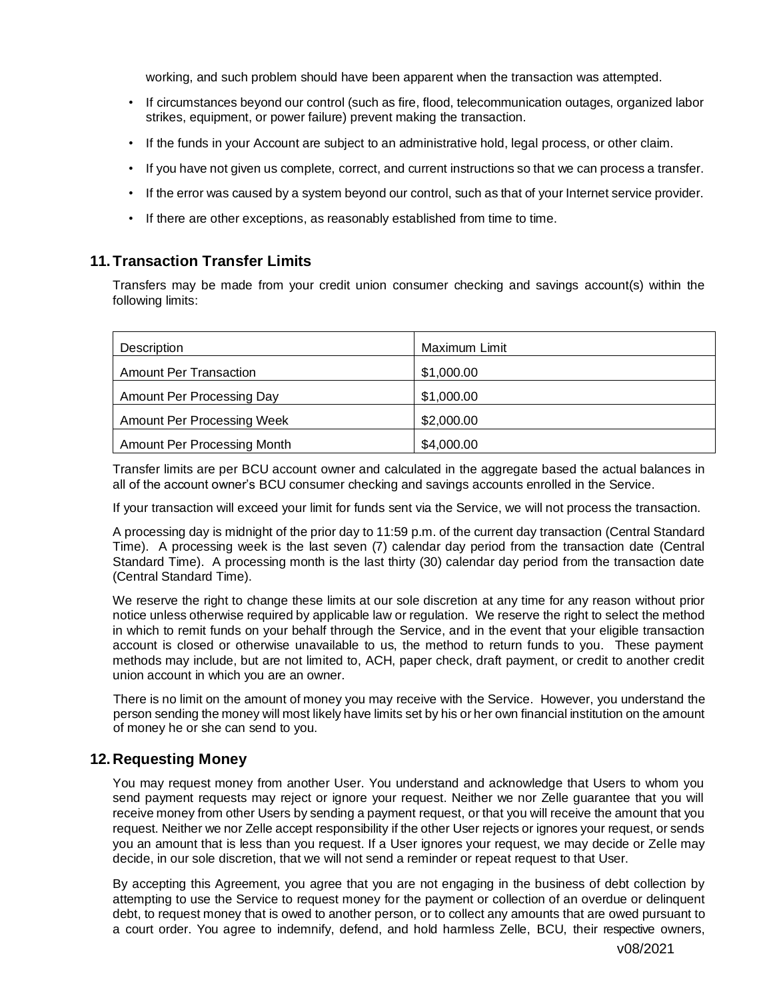working, and such problem should have been apparent when the transaction was attempted.

- If circumstances beyond our control (such as fire, flood, telecommunication outages, organized labor strikes, equipment, or power failure) prevent making the transaction.
- If the funds in your Account are subject to an administrative hold, legal process, or other claim.
- If you have not given us complete, correct, and current instructions so that we can process a transfer.
- If the error was caused by a system beyond our control, such as that of your Internet service provider.
- If there are other exceptions, as reasonably established from time to time.

## **11.Transaction Transfer Limits**

Transfers may be made from your credit union consumer checking and savings account(s) within the following limits:

| Description                       | Maximum Limit |
|-----------------------------------|---------------|
| Amount Per Transaction            | \$1,000.00    |
| Amount Per Processing Day         | \$1,000.00    |
| <b>Amount Per Processing Week</b> | \$2,000.00    |
| Amount Per Processing Month       | \$4,000.00    |

Transfer limits are per BCU account owner and calculated in the aggregate based the actual balances in all of the account owner's BCU consumer checking and savings accounts enrolled in the Service.

If your transaction will exceed your limit for funds sent via the Service, we will not process the transaction.

A processing day is midnight of the prior day to 11:59 p.m. of the current day transaction (Central Standard Time). A processing week is the last seven (7) calendar day period from the transaction date (Central Standard Time). A processing month is the last thirty (30) calendar day period from the transaction date (Central Standard Time).

We reserve the right to change these limits at our sole discretion at any time for any reason without prior notice unless otherwise required by applicable law or regulation. We reserve the right to select the method in which to remit funds on your behalf through the Service, and in the event that your eligible transaction account is closed or otherwise unavailable to us, the method to return funds to you. These payment methods may include, but are not limited to, ACH, paper check, draft payment, or credit to another credit union account in which you are an owner.

There is no limit on the amount of money you may receive with the Service. However, you understand the person sending the money will most likely have limits set by his or her own financial institution on the amount of money he or she can send to you.

## **12. Requesting Money**

You may request money from another User. You understand and acknowledge that Users to whom you send payment requests may reject or ignore your request. Neither we nor Zelle guarantee that you will receive money from other Users by sending a payment request, or that you will receive the amount that you request. Neither we nor Zelle accept responsibility if the other User rejects or ignores your request, or sends you an amount that is less than you request. If a User ignores your request, we may decide or Zelle may decide, in our sole discretion, that we will not send a reminder or repeat request to that User.

By accepting this Agreement, you agree that you are not engaging in the business of debt collection by attempting to use the Service to request money for the payment or collection of an overdue or delinquent debt, to request money that is owed to another person, or to collect any amounts that are owed pursuant to a court order. You agree to indemnify, defend, and hold harmless Zelle, BCU, their respective owners,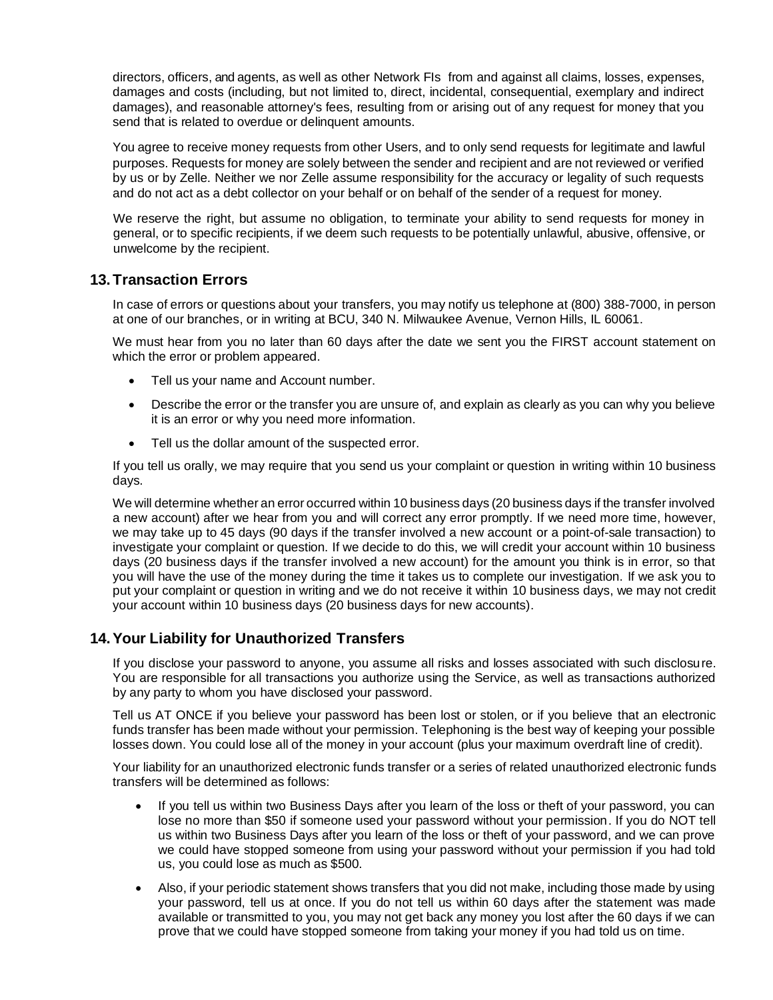directors, officers, and agents, as well as other Network FIs from and against all claims, losses, expenses, damages and costs (including, but not limited to, direct, incidental, consequential, exemplary and indirect damages), and reasonable attorney's fees, resulting from or arising out of any request for money that you send that is related to overdue or delinquent amounts.

You agree to receive money requests from other Users, and to only send requests for legitimate and lawful purposes. Requests for money are solely between the sender and recipient and are not reviewed or verified by us or by Zelle. Neither we nor Zelle assume responsibility for the accuracy or legality of such requests and do not act as a debt collector on your behalf or on behalf of the sender of a request for money.

We reserve the right, but assume no obligation, to terminate your ability to send requests for money in general, or to specific recipients, if we deem such requests to be potentially unlawful, abusive, offensive, or unwelcome by the recipient.

## **13.Transaction Errors**

In case of errors or questions about your transfers, you may notify us telephone at (800) 388-7000, in person at one of our branches, or in writing at BCU, 340 N. Milwaukee Avenue, Vernon Hills, IL 60061.

We must hear from you no later than 60 days after the date we sent you the FIRST account statement on which the error or problem appeared.

- Tell us your name and Account number.
- Describe the error or the transfer you are unsure of, and explain as clearly as you can why you believe it is an error or why you need more information.
- Tell us the dollar amount of the suspected error.

If you tell us orally, we may require that you send us your complaint or question in writing within 10 business days.

We will determine whether an error occurred within 10 business days (20 business days if the transfer involved a new account) after we hear from you and will correct any error promptly. If we need more time, however, we may take up to 45 days (90 days if the transfer involved a new account or a point-of-sale transaction) to investigate your complaint or question. If we decide to do this, we will credit your account within 10 business days (20 business days if the transfer involved a new account) for the amount you think is in error, so that you will have the use of the money during the time it takes us to complete our investigation. If we ask you to put your complaint or question in writing and we do not receive it within 10 business days, we may not credit your account within 10 business days (20 business days for new accounts).

# **14.Your Liability for Unauthorized Transfers**

If you disclose your password to anyone, you assume all risks and losses associated with such disclosure. You are responsible for all transactions you authorize using the Service, as well as transactions authorized by any party to whom you have disclosed your password.

Tell us AT ONCE if you believe your password has been lost or stolen, or if you believe that an electronic funds transfer has been made without your permission. Telephoning is the best way of keeping your possible losses down. You could lose all of the money in your account (plus your maximum overdraft line of credit).

Your liability for an unauthorized electronic funds transfer or a series of related unauthorized electronic funds transfers will be determined as follows:

- If you tell us within two Business Days after you learn of the loss or theft of your password, you can lose no more than \$50 if someone used your password without your permission. If you do NOT tell us within two Business Days after you learn of the loss or theft of your password, and we can prove we could have stopped someone from using your password without your permission if you had told us, you could lose as much as \$500.
- Also, if your periodic statement shows transfers that you did not make, including those made by using your password, tell us at once. If you do not tell us within 60 days after the statement was made available or transmitted to you, you may not get back any money you lost after the 60 days if we can prove that we could have stopped someone from taking your money if you had told us on time.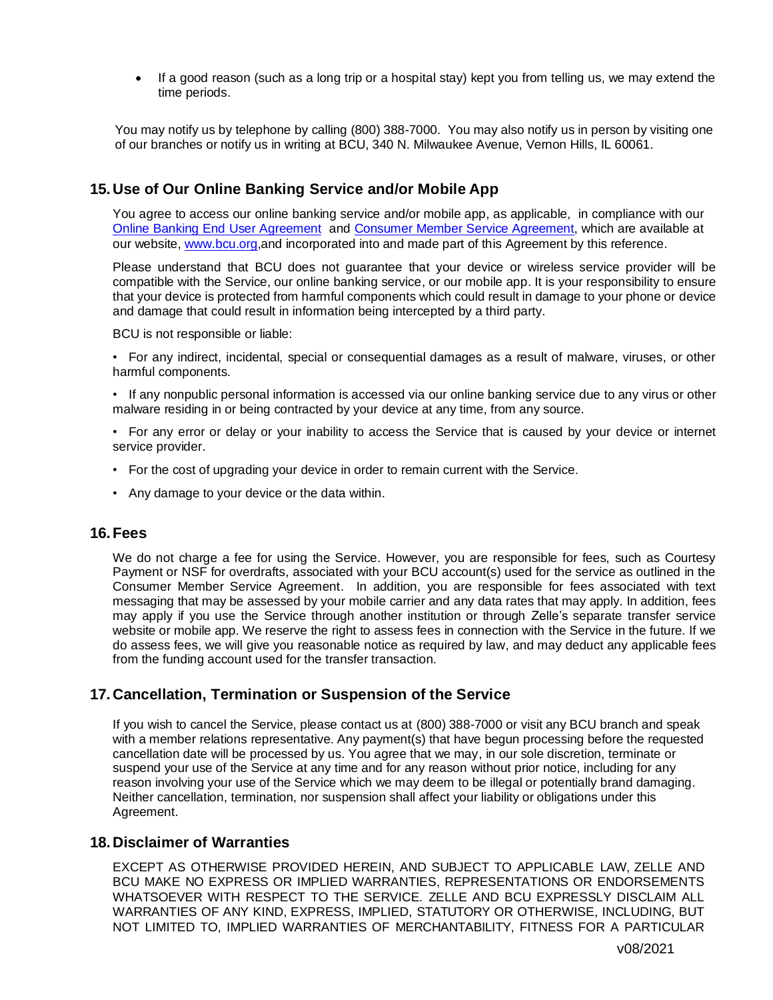• If a good reason (such as a long trip or a hospital stay) kept you from telling us, we may extend the time periods.

 You may notify us by telephone by calling (800) 388-7000. You may also notify us in person by visiting one of our branches or notify us in writing at BCU, 340 N. Milwaukee Avenue, Vernon Hills, IL 60061.

## **15. Use of Our Online Banking Service and/or Mobile App**

You agree to access our online banking service and/or mobile app, as applicable, in compliance with our [Online Banking End User Agreement](file:///C:/Users/RindtH/Downloads/Online%20Banking%20End%20User%20Agreement%20(3).pdf) and [Consumer Member Service Agreement,](file:///C:/Users/RindtH/Downloads/Deposit%20Account%20Agreement%20SMALL%20(47).pdf) which are available at our website, [www.bcu.](http://www.bcu/)org,and incorporated into and made part of this Agreement by this reference.

Please understand that BCU does not guarantee that your device or wireless service provider will be compatible with the Service, our online banking service, or our mobile app. It is your responsibility to ensure that your device is protected from harmful components which could result in damage to your phone or device and damage that could result in information being intercepted by a third party.

BCU is not responsible or liable:

• For any indirect, incidental, special or consequential damages as a result of malware, viruses, or other harmful components.

- If any nonpublic personal information is accessed via our online banking service due to any virus or other malware residing in or being contracted by your device at any time, from any source.
- For any error or delay or your inability to access the Service that is caused by your device or internet service provider.
- For the cost of upgrading your device in order to remain current with the Service.
- Any damage to your device or the data within.

#### **16.Fees**

We do not charge a fee for using the Service. However, you are responsible for fees, such as Courtesy Payment or NSF for overdrafts, associated with your BCU account(s) used for the service as outlined in the Consumer Member Service Agreement. In addition, you are responsible for fees associated with text messaging that may be assessed by your mobile carrier and any data rates that may apply. In addition, fees may apply if you use the Service through another institution or through Zelle's separate transfer service website or mobile app. We reserve the right to assess fees in connection with the Service in the future. If we do assess fees, we will give you reasonable notice as required by law, and may deduct any applicable fees from the funding account used for the transfer transaction.

## **17. Cancellation, Termination or Suspension of the Service**

If you wish to cancel the Service, please contact us at (800) 388-7000 or visit any BCU branch and speak with a member relations representative. Any payment(s) that have begun processing before the requested cancellation date will be processed by us. You agree that we may, in our sole discretion, terminate or suspend your use of the Service at any time and for any reason without prior notice, including for any reason involving your use of the Service which we may deem to be illegal or potentially brand damaging. Neither cancellation, termination, nor suspension shall affect your liability or obligations under this Agreement.

#### **18. Disclaimer of Warranties**

EXCEPT AS OTHERWISE PROVIDED HEREIN, AND SUBJECT TO APPLICABLE LAW, ZELLE AND BCU MAKE NO EXPRESS OR IMPLIED WARRANTIES, REPRESENTATIONS OR ENDORSEMENTS WHATSOEVER WITH RESPECT TO THE SERVICE. ZELLE AND BCU EXPRESSLY DISCLAIM ALL WARRANTIES OF ANY KIND, EXPRESS, IMPLIED, STATUTORY OR OTHERWISE, INCLUDING, BUT NOT LIMITED TO, IMPLIED WARRANTIES OF MERCHANTABILITY, FITNESS FOR A PARTICULAR